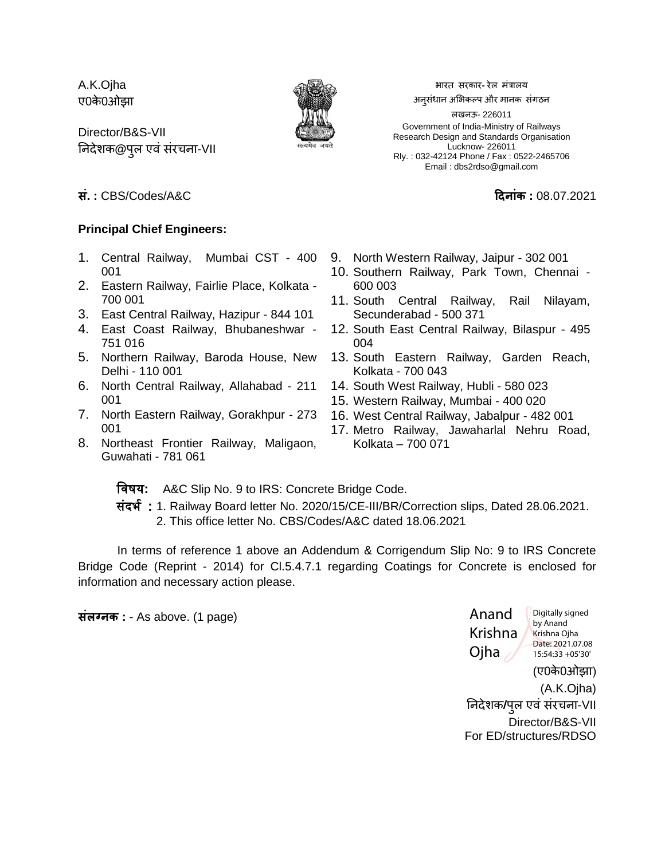A.K.Ojha ए0के0ओझा

Director/B&S-VII ननदेशक**@**ऩऱु एवंसंरचना-VII



भारत सरकार**-** रेऱ मंत्राऱय

अनसंधान अभिकल्प और मानक संगठन

ऱखनऊ- 226011 Government of India-Ministry of Railways Research Design and Standards Organisation Lucknow- 226011 Rly. : 032-42124 Phone / Fax : 0522-2465706 Email : dbs2rdso@gmail.com

### **सं. :** CBS/Codes/A&C **दिन ंक :** 08.07.2021

### **Principal Chief Engineers:**

- 1. Central Railway, Mumbai CST 400 001
- 2. Eastern Railway, Fairlie Place, Kolkata 700 001
- 3. East Central Railway, Hazipur 844 101
- 4. East Coast Railway, Bhubaneshwar 751 016
- 5. Northern Railway, Baroda House, New Delhi - 110 001
- 6. North Central Railway, Allahabad 211 001
- 7. North Eastern Railway, Gorakhpur 273 001
- 8. Northeast Frontier Railway, Maligaon, Guwahati - 781 061
- 9. North Western Railway, Jaipur 302 001
- 10. Southern Railway, Park Town, Chennai 600 003
- 11. South Central Railway, Rail Nilayam, Secunderabad - 500 371
- 12. South East Central Railway, Bilaspur 495 004
- 13. South Eastern Railway, Garden Reach, Kolkata - 700 043
- 14. South West Railway, Hubli 580 023
- 15. Western Railway, Mumbai 400 020
- 16. West Central Railway, Jabalpur 482 001
- 17. Metro Railway, Jawaharlal Nehru Road, Kolkata – 700 071

विषय**:** A&C Slip No. 9 to IRS: Concrete Bridge Code.

संदर्भ : 1. Railway Board letter No. 2020/15/CE-III/BR/Correction slips, Dated 28.06.2021. 2. This office letter No. CBS/Codes/A&C dated 18.06.2021

In terms of reference 1 above an Addendum & Corrigendum Slip No: 9 to IRS Concrete Bridge Code (Reprint - 2014) for Cl.5.4.7.1 regarding Coatings for Concrete is enclosed for information and necessary action please.

**संलग्नक :** - As above. (1 page)

(ए0के0ओझा) (A.K.Ojha) ननदेशक**/**ऩऱु एवंसंरचना-VII Director/B&S-VII For ED/structures/RDSO Anand Krishna Ojha Digitally signed by Anand Krishna Ojha Date: 2021.07.08 15:54:33 +05'30'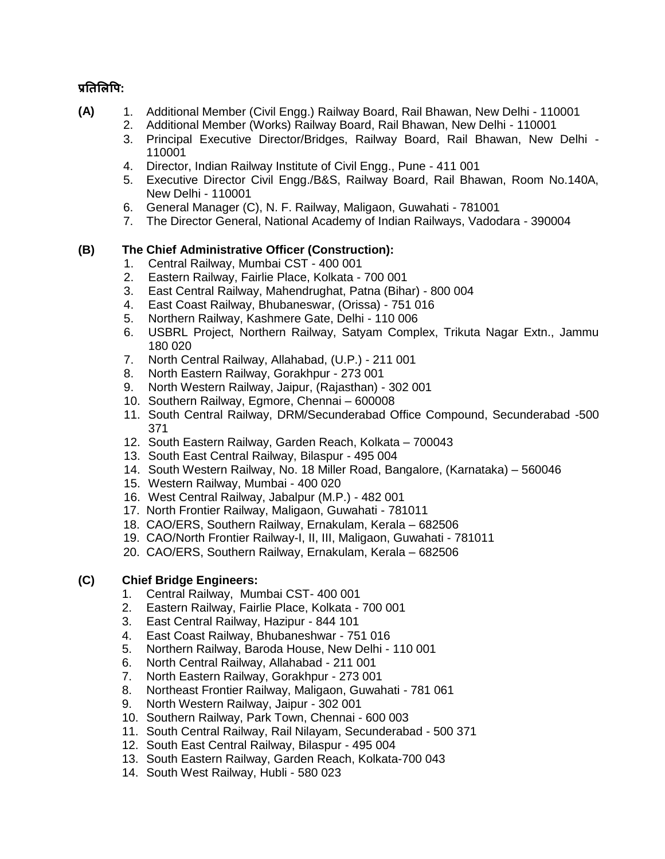## **प्रतिललपि:**

- **(A)** 1. Additional Member (Civil Engg.) Railway Board, Rail Bhawan, New Delhi 110001
	- 2. Additional Member (Works) Railway Board, Rail Bhawan, New Delhi 110001
	- 3. Principal Executive Director/Bridges, Railway Board, Rail Bhawan, New Delhi 110001
	- 4. Director, Indian Railway Institute of Civil Engg., Pune 411 001
	- 5. Executive Director Civil Engg./B&S, Railway Board, Rail Bhawan, Room No.140A, New Delhi - 110001
	- 6. General Manager (C), N. F. Railway, Maligaon, Guwahati 781001
	- 7. The Director General, National Academy of Indian Railways, Vadodara 390004

### **(B) The Chief Administrative Officer (Construction):**

- 1. Central Railway, Mumbai CST 400 001
- 2. Eastern Railway, Fairlie Place, Kolkata 700 001
- 3. East Central Railway, Mahendrughat, Patna (Bihar) 800 004
- 4. East Coast Railway, Bhubaneswar, (Orissa) 751 016
- 5. Northern Railway, Kashmere Gate, Delhi 110 006
- 6. USBRL Project, Northern Railway, Satyam Complex, Trikuta Nagar Extn., Jammu 180 020
- 7. North Central Railway, Allahabad, (U.P.) 211 001
- 8. North Eastern Railway, Gorakhpur 273 001
- 9. North Western Railway, Jaipur, (Rajasthan) 302 001
- 10. Southern Railway, Egmore, Chennai 600008
- 11. South Central Railway, DRM/Secunderabad Office Compound, Secunderabad -500 371
- 12. South Eastern Railway, Garden Reach, Kolkata 700043
- 13. South East Central Railway, Bilaspur 495 004
- 14. South Western Railway, No. 18 Miller Road, Bangalore, (Karnataka) 560046
- 15. Western Railway, Mumbai 400 020
- 16. West Central Railway, Jabalpur (M.P.) 482 001
- 17. North Frontier Railway, Maligaon, Guwahati 781011
- 18. CAO/ERS, Southern Railway, Ernakulam, Kerala 682506
- 19. CAO/North Frontier Railway-I, II, III, Maligaon, Guwahati 781011
- 20. CAO/ERS, Southern Railway, Ernakulam, Kerala 682506

## **(C) Chief Bridge Engineers:**

- 1. Central Railway, Mumbai CST- 400 001
- 2. Eastern Railway, Fairlie Place, Kolkata 700 001
- 3. East Central Railway, Hazipur 844 101
- 4. East Coast Railway, Bhubaneshwar 751 016
- 5. Northern Railway, Baroda House, New Delhi 110 001
- 6. North Central Railway, Allahabad 211 001
- 7. North Eastern Railway, Gorakhpur 273 001
- 8. Northeast Frontier Railway, Maligaon, Guwahati 781 061
- 9. North Western Railway, Jaipur 302 001
- 10. Southern Railway, Park Town, Chennai 600 003
- 11. South Central Railway, Rail Nilayam, Secunderabad 500 371
- 12. South East Central Railway, Bilaspur 495 004
- 13. South Eastern Railway, Garden Reach, Kolkata-700 043
- 14. South West Railway, Hubli 580 023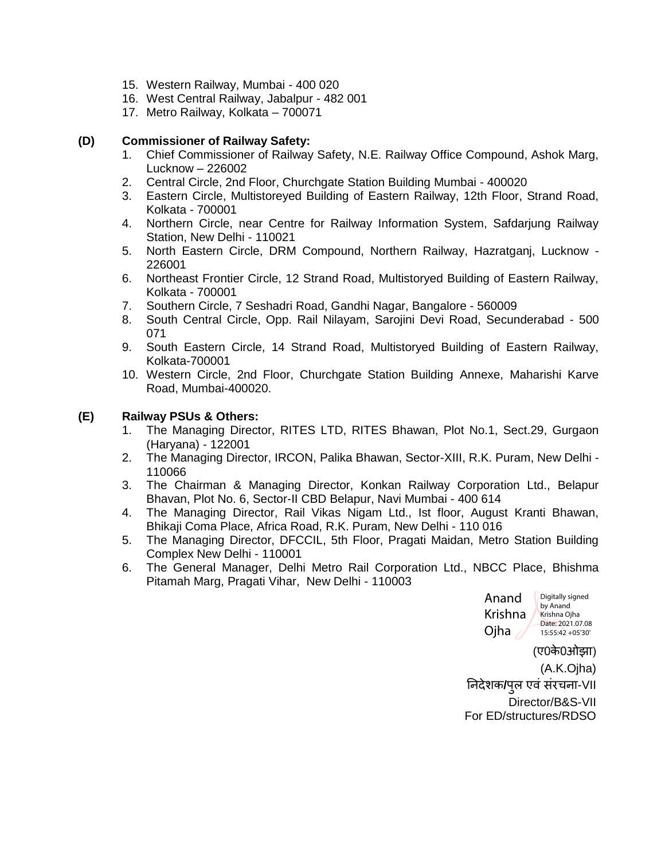- 15. Western Railway, Mumbai 400 020
- 16. West Central Railway, Jabalpur 482 001
- 17. Metro Railway, Kolkata 700071

#### **(D) Commissioner of Railway Safety:**

- 1. Chief Commissioner of Railway Safety, N.E. Railway Office Compound, Ashok Marg, Lucknow – 226002
- 2. Central Circle, 2nd Floor, Churchgate Station Building Mumbai 400020
- 3. Eastern Circle, Multistoreyed Building of Eastern Railway, 12th Floor, Strand Road, Kolkata - 700001
- 4. Northern Circle, near Centre for Railway Information System, Safdarjung Railway Station, New Delhi - 110021
- 5. North Eastern Circle, DRM Compound, Northern Railway, Hazratganj, Lucknow 226001
- 6. Northeast Frontier Circle, 12 Strand Road, Multistoryed Building of Eastern Railway, Kolkata - 700001
- 7. Southern Circle, 7 Seshadri Road, Gandhi Nagar, Bangalore 560009
- 8. South Central Circle, Opp. Rail Nilayam, Sarojini Devi Road, Secunderabad 500 071
- 9. South Eastern Circle, 14 Strand Road, Multistoryed Building of Eastern Railway, Kolkata-700001
- 10. Western Circle, 2nd Floor, Churchgate Station Building Annexe, Maharishi Karve Road, Mumbai-400020.

#### **(E) Railway PSUs & Others:**

- 1. The Managing Director, RITES LTD, RITES Bhawan, Plot No.1, Sect.29, Gurgaon (Haryana) - 122001
- 2. The Managing Director, IRCON, Palika Bhawan, Sector-XIII, R.K. Puram, New Delhi 110066
- 3. The Chairman & Managing Director, Konkan Railway Corporation Ltd., Belapur Bhavan, Plot No. 6, Sector-II CBD Belapur, Navi Mumbai - 400 614
- 4. The Managing Director, Rail Vikas Nigam Ltd., Ist floor, August Kranti Bhawan, Bhikaji Coma Place, Africa Road, R.K. Puram, New Delhi - 110 016
- 5. The Managing Director, DFCCIL, 5th Floor, Pragati Maidan, Metro Station Building Complex New Delhi - 110001
- 6. The General Manager, Delhi Metro Rail Corporation Ltd., NBCC Place, Bhishma Pitamah Marg, Pragati Vihar, New Delhi - 110003



(ए0के0ओझा) (A.K.Ojha) ननदेशक**/**ऩऱु एवंसंरचना-VII Director/B&S-VII For ED/structures/RDSO